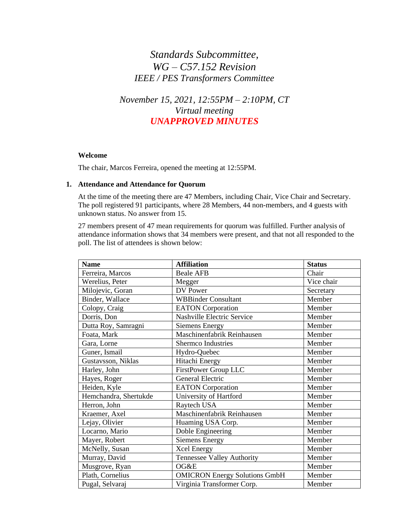# *Standards Subcommittee, WG – C57.152 Revision IEEE / PES Transformers Committee*

*November 15, 2021, 12:55PM – 2:10PM, CT Virtual meeting UNAPPROVED MINUTES*

#### **Welcome**

The chair, Marcos Ferreira, opened the meeting at 12:55PM.

#### **1. Attendance and Attendance for Quorum**

At the time of the meeting there are 47 Members, including Chair, Vice Chair and Secretary. The poll registered 91 participants, where 28 Members, 44 non-members, and 4 guests with unknown status. No answer from 15.

27 members present of 47 mean requirements for quorum was fulfilled. Further analysis of attendance information shows that 34 members were present, and that not all responded to the poll. The list of attendees is shown below:

| <b>Name</b>           | <b>Affiliation</b>                   | <b>Status</b> |
|-----------------------|--------------------------------------|---------------|
| Ferreira, Marcos      | <b>Beale AFB</b>                     | Chair         |
| Werelius, Peter       | Megger                               | Vice chair    |
| Milojevic, Goran      | DV Power                             | Secretary     |
| Binder, Wallace       | <b>WBBinder Consultant</b>           | Member        |
| Colopy, Craig         | <b>EATON</b> Corporation             | Member        |
| Dorris, Don           | <b>Nashville Electric Service</b>    | Member        |
| Dutta Roy, Samragni   | <b>Siemens Energy</b>                | Member        |
| Foata, Mark           | Maschinenfabrik Reinhausen           | Member        |
| Gara, Lorne           | Shermco Industries                   | Member        |
| Guner, Ismail         | Hydro-Quebec                         | Member        |
| Gustavsson, Niklas    | Hitachi Energy                       | Member        |
| Harley, John          | FirstPower Group LLC                 | Member        |
| Hayes, Roger          | General Electric                     | Member        |
| Heiden, Kyle          | <b>EATON</b> Corporation             | Member        |
| Hemchandra, Shertukde | University of Hartford               | Member        |
| Herron, John          | Raytech USA                          | Member        |
| Kraemer, Axel         | Maschinenfabrik Reinhausen           | Member        |
| Lejay, Olivier        | Huaming USA Corp.                    | Member        |
| Locarno, Mario        | Doble Engineering                    | Member        |
| Mayer, Robert         | <b>Siemens Energy</b>                | Member        |
| McNelly, Susan        | <b>Xcel Energy</b>                   | Member        |
| Murray, David         | Tennessee Valley Authority           | Member        |
| Musgrove, Ryan        | OG&E                                 | Member        |
| Plath, Cornelius      | <b>OMICRON</b> Energy Solutions GmbH | Member        |
| Pugal, Selvaraj       | Virginia Transformer Corp.           | Member        |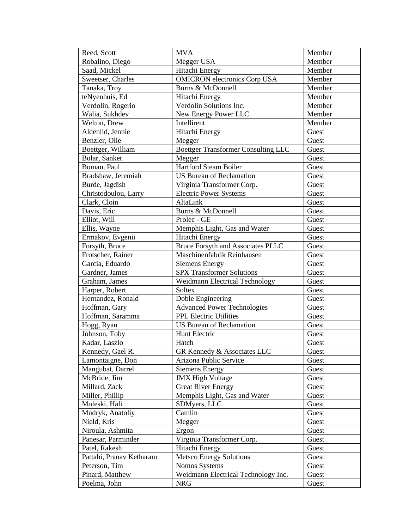| Reed, Scott              | <b>MVA</b>                                 | Member |
|--------------------------|--------------------------------------------|--------|
| Robalino, Diego          | Megger USA                                 | Member |
| Saad, Mickel             | Hitachi Energy                             | Member |
| Sweetser, Charles        | <b>OMICRON</b> electronics Corp USA        | Member |
| Tanaka, Troy             | Burns & McDonnell                          | Member |
| teNyenhuis, Ed           | Hitachi Energy                             | Member |
| Verdolin, Rogerio        | Verdolin Solutions Inc.                    | Member |
| Walia, Sukhdev           | New Energy Power LLC                       | Member |
| Welton, Drew             | Intellirent                                | Member |
| Aldenlid, Jennie         | Hitachi Energy                             | Guest  |
| Benzler, Olle            | Megger                                     | Guest  |
| Boettger, William        | <b>Boettger Transformer Consulting LLC</b> | Guest  |
| Bolar, Sanket            | Megger                                     | Guest  |
| Boman, Paul              | Hartford Steam Boiler                      | Guest  |
| Bradshaw, Jeremiah       | <b>US Bureau of Reclamation</b>            | Guest  |
| Burde, Jagdish           | Virginia Transformer Corp.                 | Guest  |
| Christodoulou, Larry     | <b>Electric Power Systems</b>              | Guest  |
| Clark, Cloin             | AltaLink                                   | Guest  |
| Davis, Eric              | <b>Burns &amp; McDonnell</b>               | Guest  |
| Elliot, Will             | Prolec - GE                                | Guest  |
| Ellis, Wayne             | Memphis Light, Gas and Water               | Guest  |
| Ermakov, Evgenii         | Hitachi Energy                             | Guest  |
| Forsyth, Bruce           | <b>Bruce Forsyth and Associates PLLC</b>   | Guest  |
| Frotscher, Rainer        | Maschinenfabrik Reinhausen                 | Guest  |
| Garcia, Eduardo          | <b>Siemens Energy</b>                      | Guest  |
| Gardner, James           | <b>SPX</b> Transformer Solutions           | Guest  |
| Graham, James            | Weidmann Electrical Technology             | Guest  |
| Harper, Robert           | Soltex                                     | Guest  |
| Hernandez, Ronald        | Doble Engineering                          | Guest  |
| Hoffman, Gary            | <b>Advanced Power Technologies</b>         | Guest  |
| Hoffman, Saramma         | <b>PPL Electric Utilities</b>              | Guest  |
| Hogg, Ryan               | <b>US Bureau of Reclamation</b>            | Guest  |
| Johnson, Toby            | Hunt Electric                              | Guest  |
| Kadar, Laszlo            | Hatch                                      | Guest  |
| Kennedy, Gael R.         | GR Kennedy & Associates LLC                | Guest  |
| Lamontaigne, Don         | Arizona Public Service                     | Guest  |
| Mangubat, Darrel         | Siemens Energy                             | Guest  |
| McBride, Jim             | <b>JMX High Voltage</b>                    | Guest  |
| Millard, Zack            | <b>Great River Energy</b>                  | Guest  |
| Miller, Phillip          | Memphis Light, Gas and Water               | Guest  |
| Moleski, Hali            | SDMyers, LLC                               | Guest  |
| Mudryk, Anatoliy         | Camlin                                     | Guest  |
| Nield, Kris              | Megger                                     | Guest  |
| Niroula, Ashmita         | Ergon                                      | Guest  |
| Panesar, Parminder       | Virginia Transformer Corp.                 | Guest  |
| Patel, Rakesh            | Hitachi Energy                             | Guest  |
| Pattabi, Pranav Ketharam | <b>Metsco Energy Solutions</b>             | Guest  |
| Peterson, Tim            | Nomos Systems                              | Guest  |
| Pinard, Matthew          | Weidmann Electrical Technology Inc.        | Guest  |
| Poelma, John             | NRG                                        | Guest  |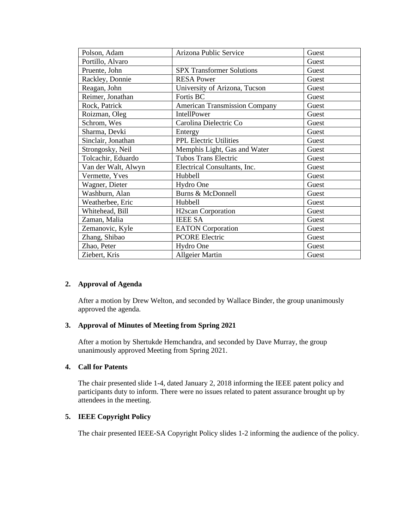| Polson, Adam        | Arizona Public Service               | Guest |
|---------------------|--------------------------------------|-------|
| Portillo, Alvaro    |                                      | Guest |
| Pruente, John       | <b>SPX Transformer Solutions</b>     | Guest |
| Rackley, Donnie     | <b>RESA Power</b>                    | Guest |
| Reagan, John        | University of Arizona, Tucson        | Guest |
| Reimer, Jonathan    | Fortis BC                            | Guest |
| Rock, Patrick       | <b>American Transmission Company</b> | Guest |
| Roizman, Oleg       | IntellPower                          | Guest |
| Schrom, Wes         | Carolina Dielectric Co               | Guest |
| Sharma, Devki       | Entergy                              | Guest |
| Sinclair, Jonathan  | <b>PPL Electric Utilities</b>        | Guest |
| Strongosky, Neil    | Memphis Light, Gas and Water         | Guest |
| Tolcachir, Eduardo  | <b>Tubos Trans Electric</b>          | Guest |
| Van der Walt, Alwyn | Electrical Consultants, Inc.         | Guest |
| Vermette, Yves      | Hubbell                              | Guest |
| Wagner, Dieter      | Hydro One                            | Guest |
| Washburn, Alan      | <b>Burns &amp; McDonnell</b>         | Guest |
| Weatherbee, Eric    | Hubbell                              | Guest |
| Whitehead, Bill     | <b>H2scan Corporation</b>            | Guest |
| Zaman, Malia        | <b>IEEE SA</b>                       | Guest |
| Zemanovic, Kyle     | <b>EATON</b> Corporation             | Guest |
| Zhang, Shibao       | <b>PCORE Electric</b>                | Guest |
| Zhao, Peter         | Hydro One                            | Guest |
| Ziebert, Kris       | <b>Allgeier Martin</b>               | Guest |

#### **2. Approval of Agenda**

After a motion by Drew Welton, and seconded by Wallace Binder, the group unanimously approved the agenda.

### **3. Approval of Minutes of Meeting from Spring 2021**

After a motion by Shertukde Hemchandra, and seconded by Dave Murray, the group unanimously approved Meeting from Spring 2021.

#### **4. Call for Patents**

The chair presented slide 1-4, dated January 2, 2018 informing the IEEE patent policy and participants duty to inform. There were no issues related to patent assurance brought up by attendees in the meeting.

#### **5. IEEE Copyright Policy**

The chair presented IEEE-SA Copyright Policy slides 1-2 informing the audience of the policy.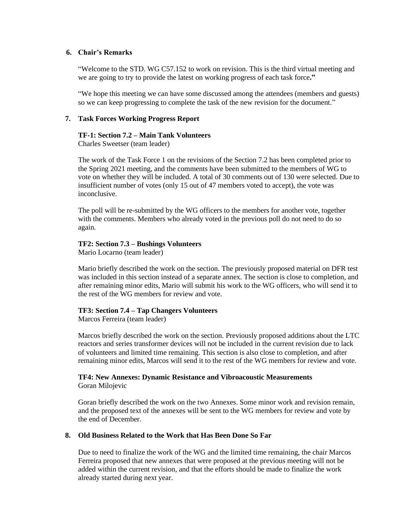#### **6. Chair's Remarks**

"Welcome to the STD. WG C57.152 to work on revision. This is the third virtual meeting and we are going to try to provide the latest on working progress of each task force**."**

"We hope this meeting we can have some discussed among the attendees (members and guests) so we can keep progressing to complete the task of the new revision for the document."

#### **7. Task Forces Working Progress Report**

#### **TF-1: Section 7.2 – Main Tank Volunteers**

Charles Sweetser (team leader)

The work of the Task Force 1 on the revisions of the Section 7.2 has been completed prior to the Spring 2021 meeting, and the comments have been submitted to the members of WG to vote on whether they will be included. A total of 30 comments out of 130 were selected. Due to insufficient number of votes (only 15 out of 47 members voted to accept), the vote was inconclusive.

The poll will be re-submitted by the WG officers to the members for another vote, together with the comments. Members who already voted in the previous poll do not need to do so again.

#### **TF2: Section 7.3 – Bushings Volunteers**

Mario Locarno (team leader)

Mario briefly described the work on the section. The previously proposed material on DFR test was included in this section instead of a separate annex. The section is close to completion, and after remaining minor edits, Mario will submit his work to the WG officers, who will send it to the rest of the WG members for review and vote.

#### **TF3: Section 7.4 – Tap Changers Volunteers**

Marcos Ferreira (team leader)

the end of December.

Marcos briefly described the work on the section. Previously proposed additions about the LTC reactors and series transformer devices will not be included in the current revision due to lack of volunteers and limited time remaining. This section is also close to completion, and after remaining minor edits, Marcos will send it to the rest of the WG members for review and vote.

#### **TF4: New Annexes: Dynamic Resistance and Vibroacoustic Measurements** Goran Milojevic

Goran briefly described the work on the two Annexes. Some minor work and revision remain, and the proposed text of the annexes will be sent to the WG members for review and vote by

## **8. Old Business Related to the Work that Has Been Done So Far**

Due to need to finalize the work of the WG and the limited time remaining, the chair Marcos Ferreira proposed that new annexes that were proposed at the previous meeting will not be added within the current revision, and that the efforts should be made to finalize the work already started during next year.